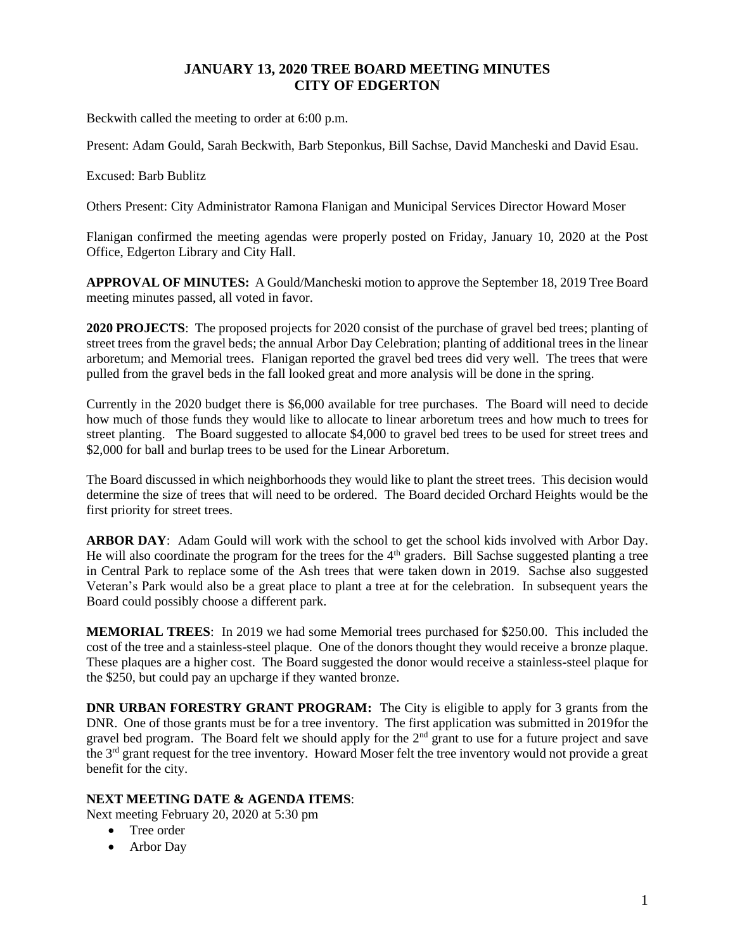## **JANUARY 13, 2020 TREE BOARD MEETING MINUTES CITY OF EDGERTON**

Beckwith called the meeting to order at 6:00 p.m.

Present: Adam Gould, Sarah Beckwith, Barb Steponkus, Bill Sachse, David Mancheski and David Esau.

Excused: Barb Bublitz

Others Present: City Administrator Ramona Flanigan and Municipal Services Director Howard Moser

Flanigan confirmed the meeting agendas were properly posted on Friday, January 10, 2020 at the Post Office, Edgerton Library and City Hall.

**APPROVAL OF MINUTES:** A Gould/Mancheski motion to approve the September 18, 2019 Tree Board meeting minutes passed, all voted in favor.

**2020 PROJECTS**: The proposed projects for 2020 consist of the purchase of gravel bed trees; planting of street trees from the gravel beds; the annual Arbor Day Celebration; planting of additional trees in the linear arboretum; and Memorial trees. Flanigan reported the gravel bed trees did very well. The trees that were pulled from the gravel beds in the fall looked great and more analysis will be done in the spring.

Currently in the 2020 budget there is \$6,000 available for tree purchases. The Board will need to decide how much of those funds they would like to allocate to linear arboretum trees and how much to trees for street planting. The Board suggested to allocate \$4,000 to gravel bed trees to be used for street trees and \$2,000 for ball and burlap trees to be used for the Linear Arboretum.

The Board discussed in which neighborhoods they would like to plant the street trees. This decision would determine the size of trees that will need to be ordered. The Board decided Orchard Heights would be the first priority for street trees.

**ARBOR DAY**: Adam Gould will work with the school to get the school kids involved with Arbor Day. He will also coordinate the program for the trees for the  $4<sup>th</sup>$  graders. Bill Sachse suggested planting a tree in Central Park to replace some of the Ash trees that were taken down in 2019. Sachse also suggested Veteran's Park would also be a great place to plant a tree at for the celebration. In subsequent years the Board could possibly choose a different park.

**MEMORIAL TREES**: In 2019 we had some Memorial trees purchased for \$250.00. This included the cost of the tree and a stainless-steel plaque. One of the donors thought they would receive a bronze plaque. These plaques are a higher cost. The Board suggested the donor would receive a stainless-steel plaque for the \$250, but could pay an upcharge if they wanted bronze.

**DNR URBAN FORESTRY GRANT PROGRAM:** The City is eligible to apply for 3 grants from the DNR. One of those grants must be for a tree inventory. The first application was submitted in 2019for the gravel bed program. The Board felt we should apply for the 2<sup>nd</sup> grant to use for a future project and save the 3rd grant request for the tree inventory. Howard Moser felt the tree inventory would not provide a great benefit for the city.

## **NEXT MEETING DATE & AGENDA ITEMS**:

Next meeting February 20, 2020 at 5:30 pm

- Tree order
- Arbor Day